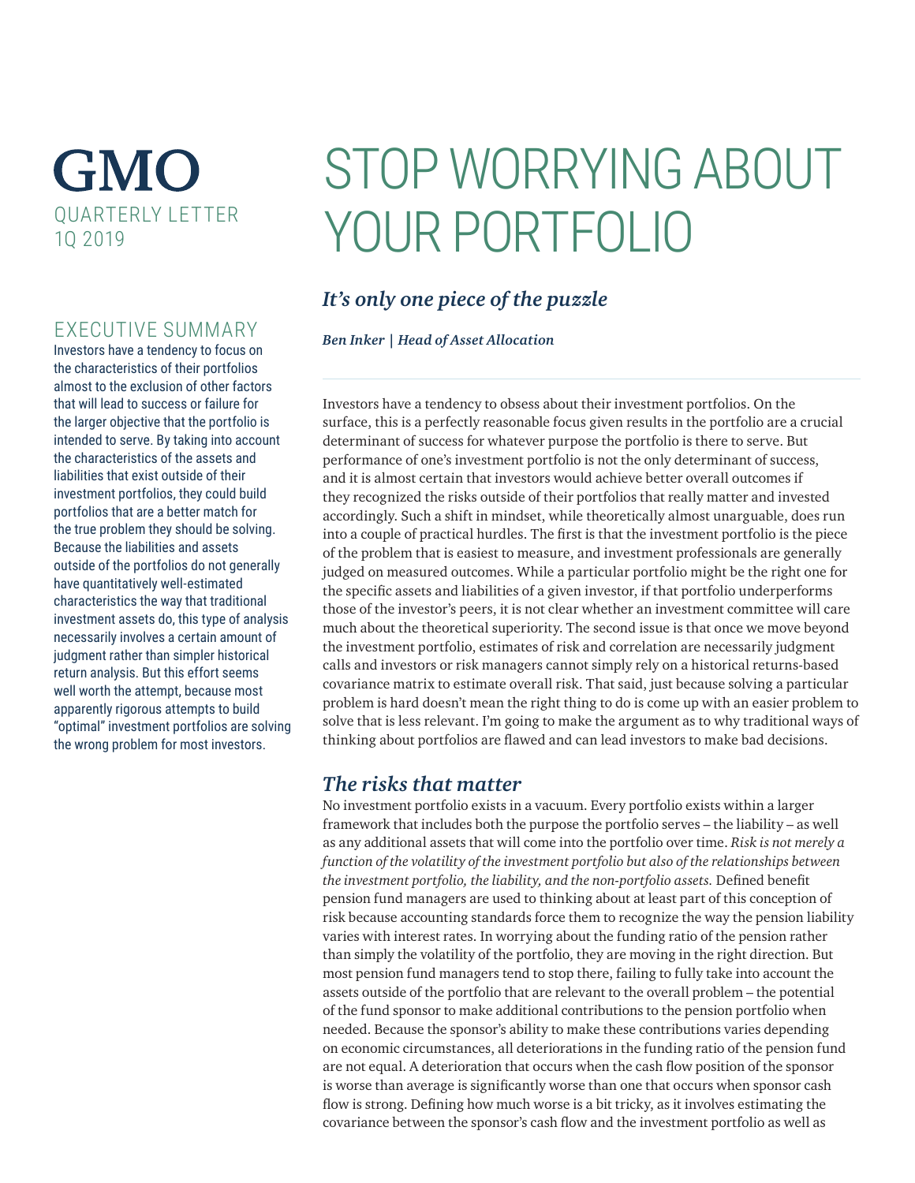## **GMO** QUARTERLY LETTER 1Q 2019

## EXECUTIVE SUMMARY

Investors have a tendency to focus on the characteristics of their portfolios almost to the exclusion of other factors that will lead to success or failure for the larger objective that the portfolio is intended to serve. By taking into account the characteristics of the assets and liabilities that exist outside of their investment portfolios, they could build portfolios that are a better match for the true problem they should be solving. Because the liabilities and assets outside of the portfolios do not generally have quantitatively well-estimated characteristics the way that traditional investment assets do, this type of analysis necessarily involves a certain amount of judgment rather than simpler historical return analysis. But this effort seems well worth the attempt, because most apparently rigorous attempts to build "optimal" investment portfolios are solving the wrong problem for most investors.

# STOP WORRYING ABOUT YOUR PORTFOLIO

## *It's only one piece of the puzzle*

*Ben Inker | Head of Asset Allocation*

Investors have a tendency to obsess about their investment portfolios. On the surface, this is a perfectly reasonable focus given results in the portfolio are a crucial determinant of success for whatever purpose the portfolio is there to serve. But performance of one's investment portfolio is not the only determinant of success, and it is almost certain that investors would achieve better overall outcomes if they recognized the risks outside of their portfolios that really matter and invested accordingly. Such a shift in mindset, while theoretically almost unarguable, does run into a couple of practical hurdles. The first is that the investment portfolio is the piece of the problem that is easiest to measure, and investment professionals are generally judged on measured outcomes. While a particular portfolio might be the right one for the specific assets and liabilities of a given investor, if that portfolio underperforms those of the investor's peers, it is not clear whether an investment committee will care much about the theoretical superiority. The second issue is that once we move beyond the investment portfolio, estimates of risk and correlation are necessarily judgment calls and investors or risk managers cannot simply rely on a historical returns-based covariance matrix to estimate overall risk. That said, just because solving a particular problem is hard doesn't mean the right thing to do is come up with an easier problem to solve that is less relevant. I'm going to make the argument as to why traditional ways of thinking about portfolios are flawed and can lead investors to make bad decisions.

### *The risks that matter*

No investment portfolio exists in a vacuum. Every portfolio exists within a larger framework that includes both the purpose the portfolio serves – the liability – as well as any additional assets that will come into the portfolio over time. *Risk is not merely a function of the volatility of the investment portfolio but also of the relationships between the investment portfolio, the liability, and the non-portfolio assets.* Defined benefit pension fund managers are used to thinking about at least part of this conception of risk because accounting standards force them to recognize the way the pension liability varies with interest rates. In worrying about the funding ratio of the pension rather than simply the volatility of the portfolio, they are moving in the right direction. But most pension fund managers tend to stop there, failing to fully take into account the assets outside of the portfolio that are relevant to the overall problem – the potential of the fund sponsor to make additional contributions to the pension portfolio when needed. Because the sponsor's ability to make these contributions varies depending on economic circumstances, all deteriorations in the funding ratio of the pension fund are not equal. A deterioration that occurs when the cash flow position of the sponsor is worse than average is significantly worse than one that occurs when sponsor cash flow is strong. Defining how much worse is a bit tricky, as it involves estimating the covariance between the sponsor's cash flow and the investment portfolio as well as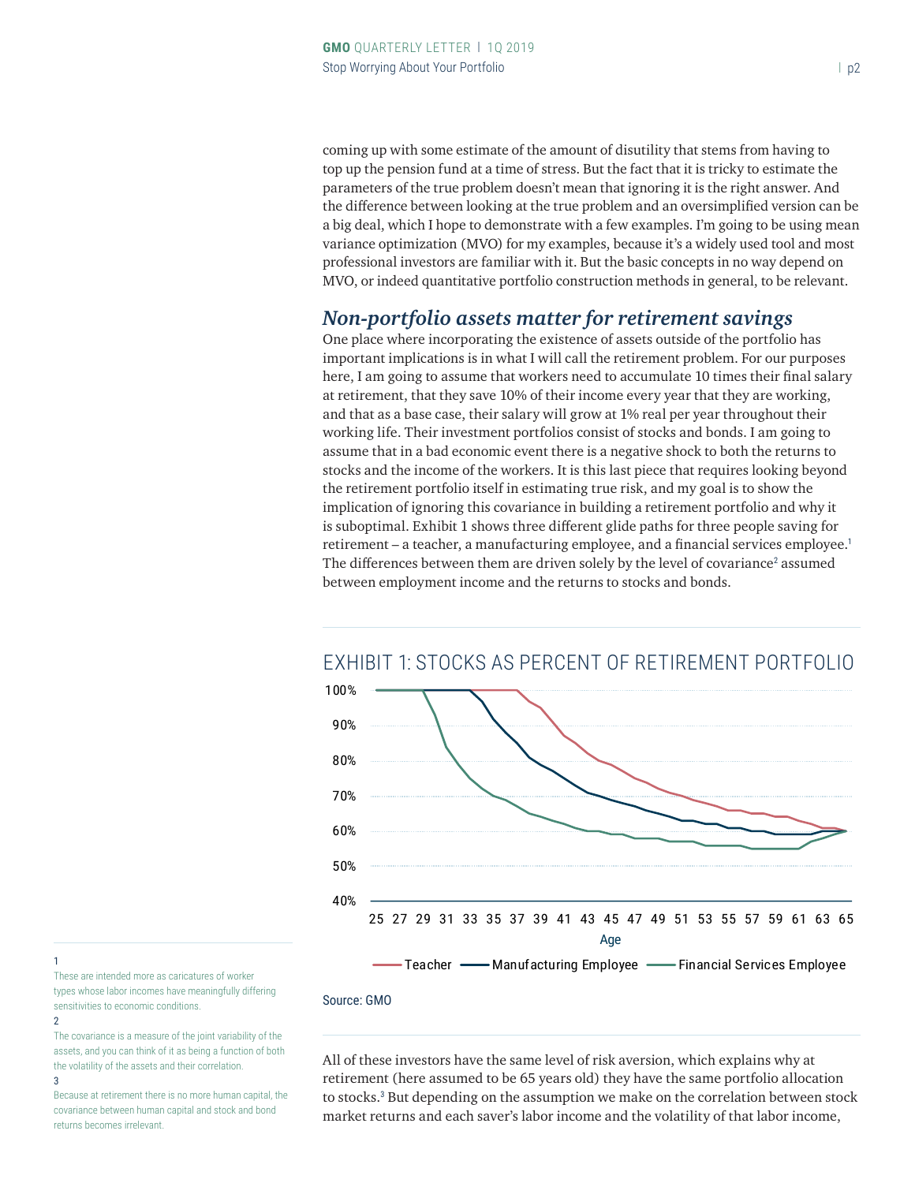coming up with some estimate of the amount of disutility that stems from having to top up the pension fund at a time of stress. But the fact that it is tricky to estimate the parameters of the true problem doesn't mean that ignoring it is the right answer. And the difference between looking at the true problem and an oversimplified version can be a big deal, which I hope to demonstrate with a few examples. I'm going to be using mean variance optimization (MVO) for my examples, because it's a widely used tool and most professional investors are familiar with it. But the basic concepts in no way depend on MVO, or indeed quantitative portfolio construction methods in general, to be relevant.

#### *Non-portfolio assets matter for retirement savings*

One place where incorporating the existence of assets outside of the portfolio has important implications is in what I will call the retirement problem. For our purposes here, I am going to assume that workers need to accumulate 10 times their final salary at retirement, that they save 10% of their income every year that they are working, and that as a base case, their salary will grow at 1% real per year throughout their working life. Their investment portfolios consist of stocks and bonds. I am going to assume that in a bad economic event there is a negative shock to both the returns to stocks and the income of the workers. It is this last piece that requires looking beyond the retirement portfolio itself in estimating true risk, and my goal is to show the implication of ignoring this covariance in building a retirement portfolio and why it is suboptimal. Exhibit 1 shows three different glide paths for three people saving for retirement – a teacher, a manufacturing employee, and a financial services employee.<sup>1</sup> The differences between them are driven solely by the level of covariance<sup>2</sup> assumed between employment income and the returns to stocks and bonds.



## EXHIBIT 1: STOCKS AS PERCENT OF RETIREMENT PORTFOLIO

#### Source: GMO

These are intended more as caricatures of worker types whose labor incomes have meaningfully differing sensitivities to economic conditions.

2

1

The covariance is a measure of the joint variability of the assets, and you can think of it as being a function of both the volatility of the assets and their correlation. 3

Because at retirement there is no more human capital, the covariance between human capital and stock and bond returns becomes irrelevant.

All of these investors have the same level of risk aversion, which explains why at retirement (here assumed to be 65 years old) they have the same portfolio allocation to stocks.<sup>3</sup> But depending on the assumption we make on the correlation between stock market returns and each saver's labor income and the volatility of that labor income,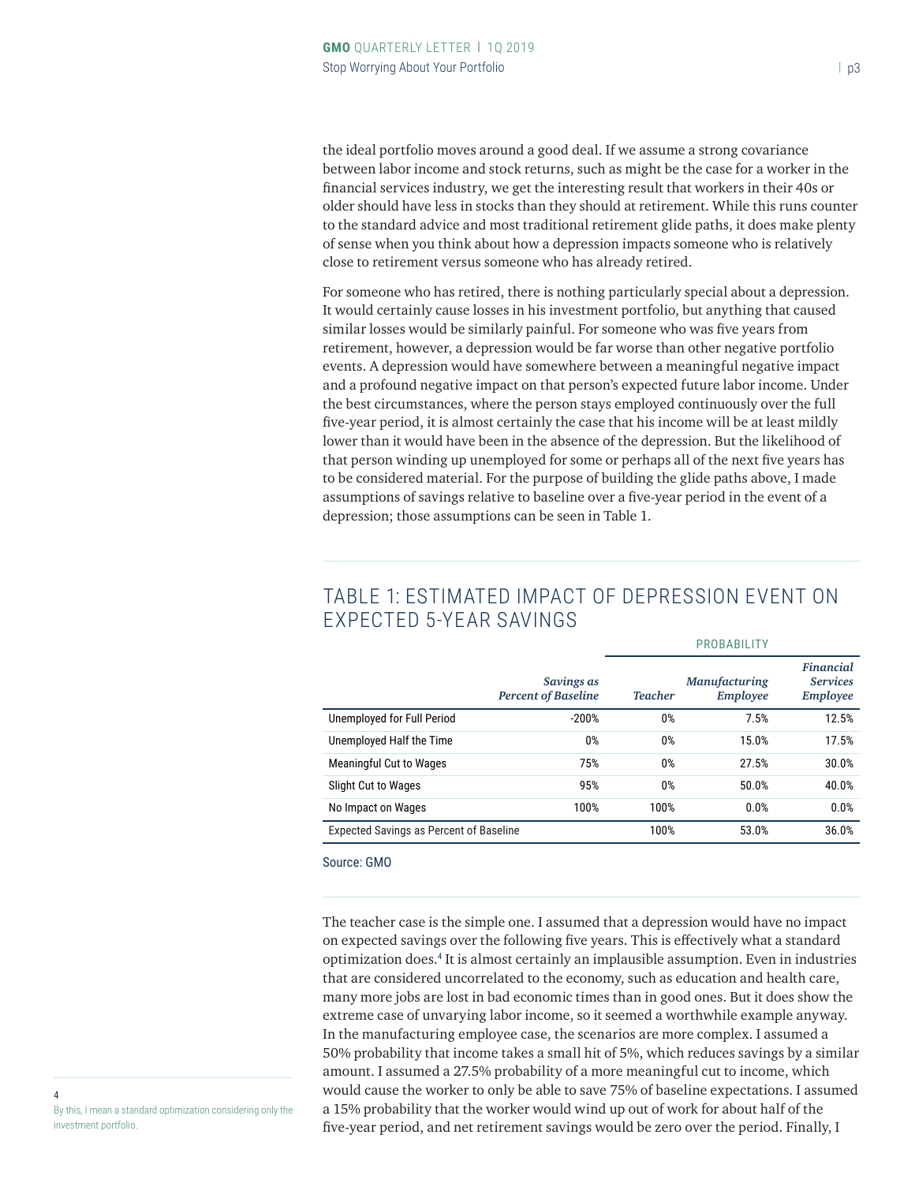the ideal portfolio moves around a good deal. If we assume a strong covariance between labor income and stock returns, such as might be the case for a worker in the financial services industry, we get the interesting result that workers in their 40s or older should have less in stocks than they should at retirement. While this runs counter to the standard advice and most traditional retirement glide paths, it does make plenty of sense when you think about how a depression impacts someone who is relatively close to retirement versus someone who has already retired.

For someone who has retired, there is nothing particularly special about a depression. It would certainly cause losses in his investment portfolio, but anything that caused similar losses would be similarly painful. For someone who was five years from retirement, however, a depression would be far worse than other negative portfolio events. A depression would have somewhere between a meaningful negative impact and a profound negative impact on that person's expected future labor income. Under the best circumstances, where the person stays employed continuously over the full five-year period, it is almost certainly the case that his income will be at least mildly lower than it would have been in the absence of the depression. But the likelihood of that person winding up unemployed for some or perhaps all of the next five years has to be considered material. For the purpose of building the glide paths above, I made assumptions of savings relative to baseline over a five-year period in the event of a depression; those assumptions can be seen in Table 1.

|                                                | Savings as<br><b>Percent of Baseline</b> | <b>Teacher</b> | <b>Manufacturing</b><br>Employee | <b>Financial</b><br><b>Services</b><br>Employee |
|------------------------------------------------|------------------------------------------|----------------|----------------------------------|-------------------------------------------------|
| Unemployed for Full Period                     | $-200%$                                  | 0%             | 7.5%                             | 12.5%                                           |
| Unemployed Half the Time                       | 0%                                       | 0%             | 15.0%                            | 17.5%                                           |
| <b>Meaningful Cut to Wages</b>                 | 75%                                      | 0%             | 27.5%                            | 30.0%                                           |
| Slight Cut to Wages                            | 95%                                      | 0%             | 50.0%                            | 40.0%                                           |
| No Impact on Wages                             | 100%                                     | 100%           | 0.0%                             | 0.0%                                            |
| <b>Expected Savings as Percent of Baseline</b> |                                          | 100%           | 53.0%                            | 36.0%                                           |

## TABLE 1: ESTIMATED IMPACT OF DEPRESSION EVENT ON EXPECTED 5-YEAR SAVINGS

Source: GMO

The teacher case is the simple one. I assumed that a depression would have no impact on expected savings over the following five years. This is effectively what a standard optimization does.<sup>4</sup> It is almost certainly an implausible assumption. Even in industries that are considered uncorrelated to the economy, such as education and health care, many more jobs are lost in bad economic times than in good ones. But it does show the extreme case of unvarying labor income, so it seemed a worthwhile example anyway. In the manufacturing employee case, the scenarios are more complex. I assumed a 50% probability that income takes a small hit of 5%, which reduces savings by a similar amount. I assumed a 27.5% probability of a more meaningful cut to income, which would cause the worker to only be able to save 75% of baseline expectations. I assumed a 15% probability that the worker would wind up out of work for about half of the five-year period, and net retirement savings would be zero over the period. Finally, I

4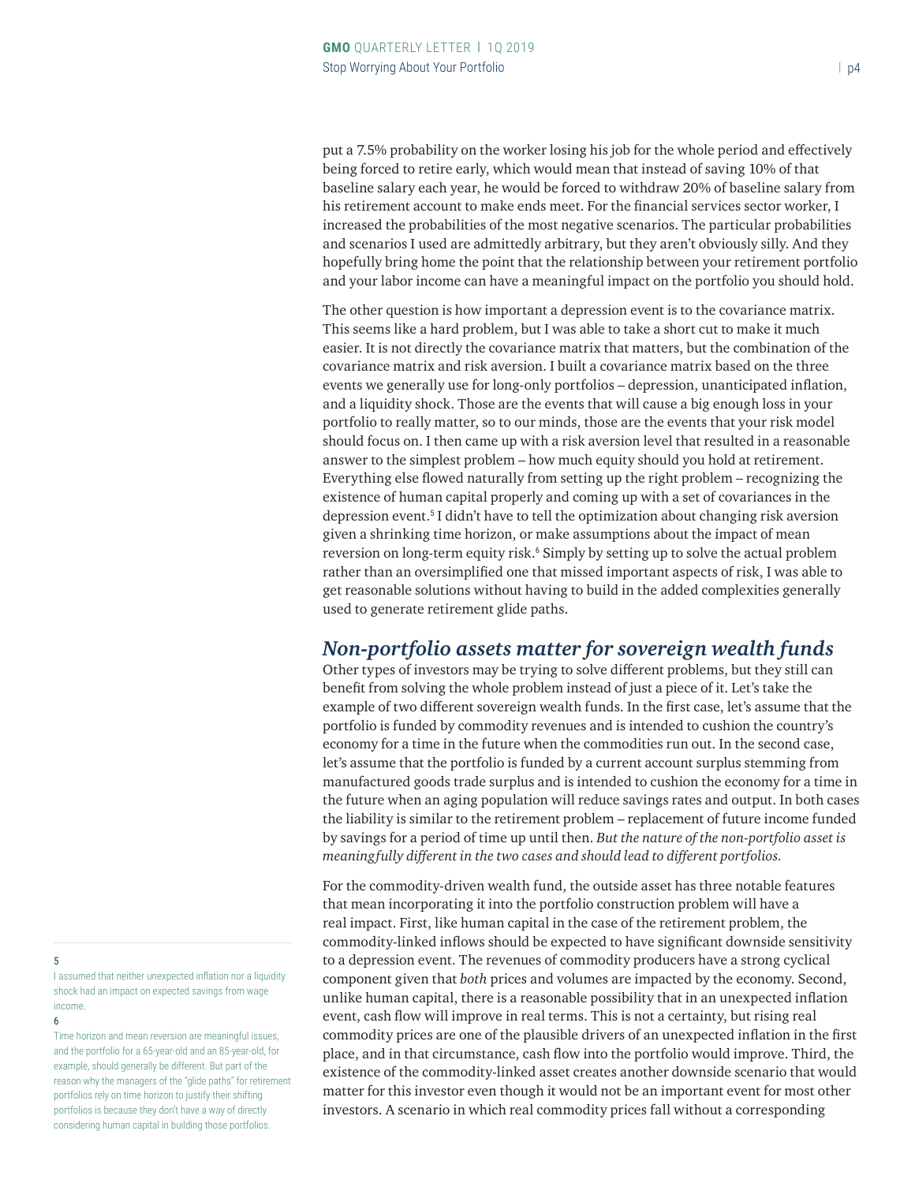put a 7.5% probability on the worker losing his job for the whole period and effectively being forced to retire early, which would mean that instead of saving 10% of that baseline salary each year, he would be forced to withdraw 20% of baseline salary from his retirement account to make ends meet. For the financial services sector worker, I increased the probabilities of the most negative scenarios. The particular probabilities and scenarios I used are admittedly arbitrary, but they aren't obviously silly. And they hopefully bring home the point that the relationship between your retirement portfolio and your labor income can have a meaningful impact on the portfolio you should hold.

The other question is how important a depression event is to the covariance matrix. This seems like a hard problem, but I was able to take a short cut to make it much easier. It is not directly the covariance matrix that matters, but the combination of the covariance matrix and risk aversion. I built a covariance matrix based on the three events we generally use for long-only portfolios – depression, unanticipated inflation, and a liquidity shock. Those are the events that will cause a big enough loss in your portfolio to really matter, so to our minds, those are the events that your risk model should focus on. I then came up with a risk aversion level that resulted in a reasonable answer to the simplest problem – how much equity should you hold at retirement. Everything else flowed naturally from setting up the right problem – recognizing the existence of human capital properly and coming up with a set of covariances in the depression event.<sup>5</sup> I didn't have to tell the optimization about changing risk aversion given a shrinking time horizon, or make assumptions about the impact of mean reversion on long-term equity risk.<sup>6</sup> Simply by setting up to solve the actual problem rather than an oversimplified one that missed important aspects of risk, I was able to get reasonable solutions without having to build in the added complexities generally used to generate retirement glide paths.

#### *Non-portfolio assets matter for sovereign wealth funds*

Other types of investors may be trying to solve different problems, but they still can benefit from solving the whole problem instead of just a piece of it. Let's take the example of two different sovereign wealth funds. In the first case, let's assume that the portfolio is funded by commodity revenues and is intended to cushion the country's economy for a time in the future when the commodities run out. In the second case, let's assume that the portfolio is funded by a current account surplus stemming from manufactured goods trade surplus and is intended to cushion the economy for a time in the future when an aging population will reduce savings rates and output. In both cases the liability is similar to the retirement problem – replacement of future income funded by savings for a period of time up until then. *But the nature of the non-portfolio asset is meaningfully different in the two cases and should lead to different portfolios.*

For the commodity-driven wealth fund, the outside asset has three notable features that mean incorporating it into the portfolio construction problem will have a real impact. First, like human capital in the case of the retirement problem, the commodity-linked inflows should be expected to have significant downside sensitivity to a depression event. The revenues of commodity producers have a strong cyclical component given that *both* prices and volumes are impacted by the economy. Second, unlike human capital, there is a reasonable possibility that in an unexpected inflation event, cash flow will improve in real terms. This is not a certainty, but rising real commodity prices are one of the plausible drivers of an unexpected inflation in the first place, and in that circumstance, cash flow into the portfolio would improve. Third, the existence of the commodity-linked asset creates another downside scenario that would matter for this investor even though it would not be an important event for most other investors. A scenario in which real commodity prices fall without a corresponding

#### 5

I assumed that neither unexpected inflation nor a liquidity shock had an impact on expected savings from wage income.

#### 6

Time horizon and mean reversion are meaningful issues, and the portfolio for a 65-year-old and an 85-year-old, for example, should generally be different. But part of the reason why the managers of the "glide paths" for retirement portfolios rely on time horizon to justify their shifting portfolios is because they don't have a way of directly considering human capital in building those portfolios.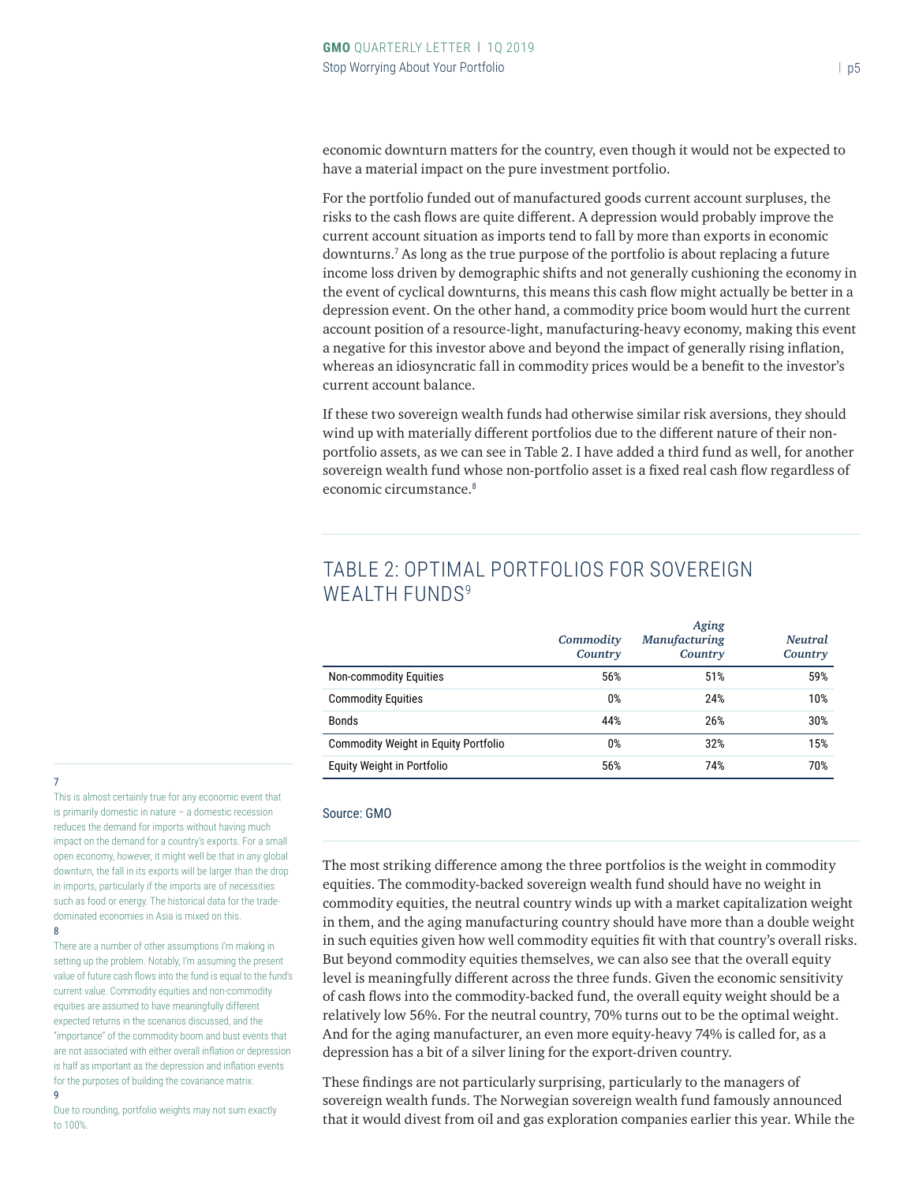economic downturn matters for the country, even though it would not be expected to have a material impact on the pure investment portfolio.

For the portfolio funded out of manufactured goods current account surpluses, the risks to the cash flows are quite different. A depression would probably improve the current account situation as imports tend to fall by more than exports in economic downturns.<sup>7</sup> As long as the true purpose of the portfolio is about replacing a future income loss driven by demographic shifts and not generally cushioning the economy in the event of cyclical downturns, this means this cash flow might actually be better in a depression event. On the other hand, a commodity price boom would hurt the current account position of a resource-light, manufacturing-heavy economy, making this event a negative for this investor above and beyond the impact of generally rising inflation, whereas an idiosyncratic fall in commodity prices would be a benefit to the investor's current account balance.

If these two sovereign wealth funds had otherwise similar risk aversions, they should wind up with materially different portfolios due to the different nature of their nonportfolio assets, as we can see in Table 2. I have added a third fund as well, for another sovereign wealth fund whose non-portfolio asset is a fixed real cash flow regardless of economic circumstance.<sup>8</sup>

|                                      | Commodity<br>Country | Aging<br><b>Manufacturing</b><br>Country | <b>Neutral</b><br>Country |
|--------------------------------------|----------------------|------------------------------------------|---------------------------|
| Non-commodity Equities               | 56%                  | 51%                                      | 59%                       |
| <b>Commodity Equities</b>            | 0%                   | 24%                                      | 10%                       |
| Bonds                                | 44%                  | 26%                                      | 30%                       |
| Commodity Weight in Equity Portfolio | 0%                   | 32%                                      | 15%                       |
| Equity Weight in Portfolio           | 56%                  | 74%                                      | 70%                       |

## TABLE 2: OPTIMAL PORTFOLIOS FOR SOVEREIGN WEALTH FUNDS<sup>9</sup>

## 7

This is almost certainly true for any economic event that is primarily domestic in nature – a domestic recession reduces the demand for imports without having much impact on the demand for a country's exports. For a small open economy, however, it might well be that in any global downturn, the fall in its exports will be larger than the drop in imports, particularly if the imports are of necessities such as food or energy. The historical data for the tradedominated economies in Asia is mixed on this. 8

There are a number of other assumptions I'm making in setting up the problem. Notably, I'm assuming the present value of future cash flows into the fund is equal to the fund's current value. Commodity equities and non-commodity equities are assumed to have meaningfully different expected returns in the scenarios discussed, and the "importance" of the commodity boom and bust events that are not associated with either overall inflation or depression is half as important as the depression and inflation events for the purposes of building the covariance matrix.  $\Omega$ 

Due to rounding, portfolio weights may not sum exactly to 100%.

#### Source: GMO

The most striking difference among the three portfolios is the weight in commodity equities. The commodity-backed sovereign wealth fund should have no weight in commodity equities, the neutral country winds up with a market capitalization weight in them, and the aging manufacturing country should have more than a double weight in such equities given how well commodity equities fit with that country's overall risks. But beyond commodity equities themselves, we can also see that the overall equity level is meaningfully different across the three funds. Given the economic sensitivity of cash flows into the commodity-backed fund, the overall equity weight should be a relatively low 56%. For the neutral country, 70% turns out to be the optimal weight. And for the aging manufacturer, an even more equity-heavy 74% is called for, as a depression has a bit of a silver lining for the export-driven country.

These findings are not particularly surprising, particularly to the managers of sovereign wealth funds. The Norwegian sovereign wealth fund famously announced that it would divest from oil and gas exploration companies earlier this year. While the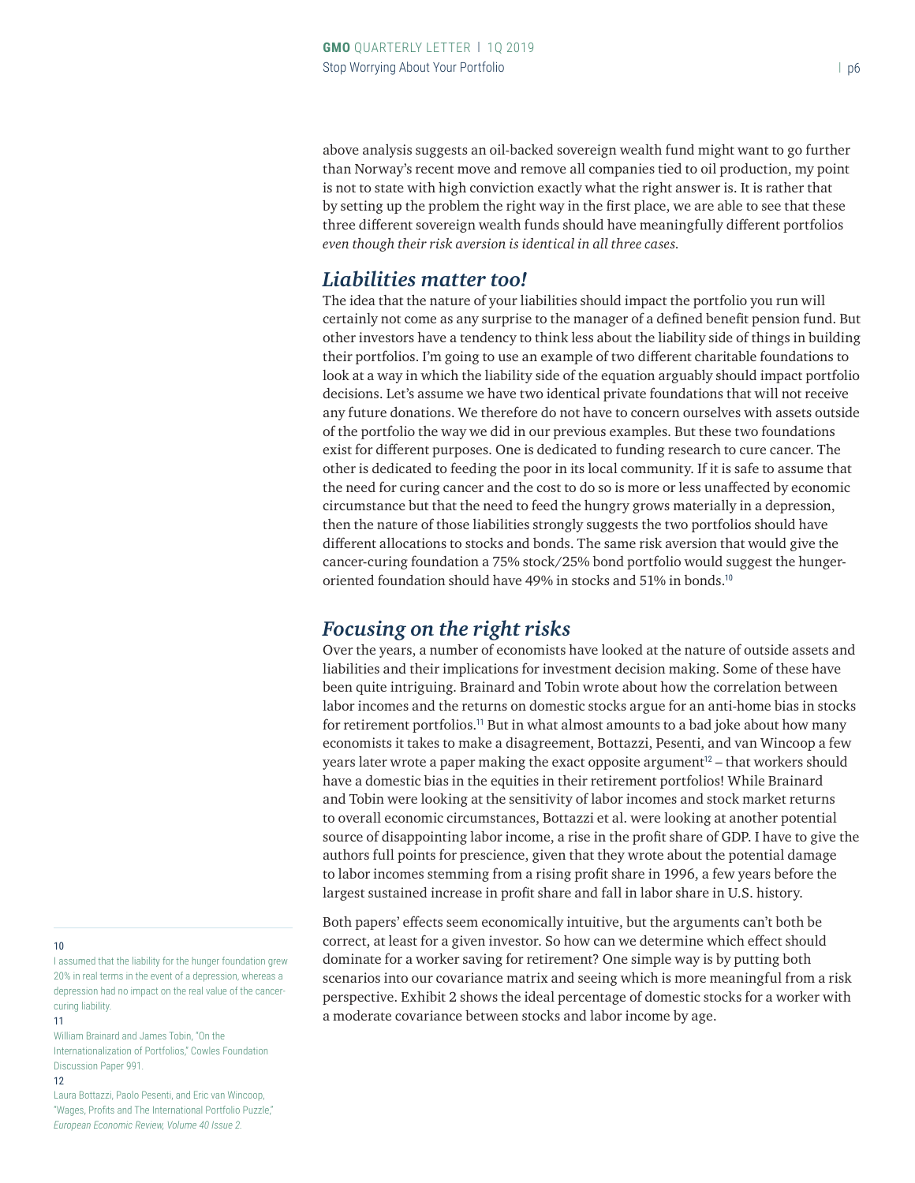above analysis suggests an oil-backed sovereign wealth fund might want to go further than Norway's recent move and remove all companies tied to oil production, my point is not to state with high conviction exactly what the right answer is. It is rather that by setting up the problem the right way in the first place, we are able to see that these three different sovereign wealth funds should have meaningfully different portfolios *even though their risk aversion is identical in all three cases.*

#### *Liabilities matter too!*

The idea that the nature of your liabilities should impact the portfolio you run will certainly not come as any surprise to the manager of a defined benefit pension fund. But other investors have a tendency to think less about the liability side of things in building their portfolios. I'm going to use an example of two different charitable foundations to look at a way in which the liability side of the equation arguably should impact portfolio decisions. Let's assume we have two identical private foundations that will not receive any future donations. We therefore do not have to concern ourselves with assets outside of the portfolio the way we did in our previous examples. But these two foundations exist for different purposes. One is dedicated to funding research to cure cancer. The other is dedicated to feeding the poor in its local community. If it is safe to assume that the need for curing cancer and the cost to do so is more or less unaffected by economic circumstance but that the need to feed the hungry grows materially in a depression, then the nature of those liabilities strongly suggests the two portfolios should have different allocations to stocks and bonds. The same risk aversion that would give the cancer-curing foundation a 75% stock/25% bond portfolio would suggest the hungeroriented foundation should have 49% in stocks and 51% in bonds.<sup>10</sup>

## *Focusing on the right risks*

Over the years, a number of economists have looked at the nature of outside assets and liabilities and their implications for investment decision making. Some of these have been quite intriguing. Brainard and Tobin wrote about how the correlation between labor incomes and the returns on domestic stocks argue for an anti-home bias in stocks for retirement portfolios.<sup>11</sup> But in what almost amounts to a bad joke about how many economists it takes to make a disagreement, Bottazzi, Pesenti, and van Wincoop a few years later wrote a paper making the exact opposite argument $12$  – that workers should have a domestic bias in the equities in their retirement portfolios! While Brainard and Tobin were looking at the sensitivity of labor incomes and stock market returns to overall economic circumstances, Bottazzi et al. were looking at another potential source of disappointing labor income, a rise in the profit share of GDP. I have to give the authors full points for prescience, given that they wrote about the potential damage to labor incomes stemming from a rising profit share in 1996, a few years before the largest sustained increase in profit share and fall in labor share in U.S. history.

Both papers' effects seem economically intuitive, but the arguments can't both be correct, at least for a given investor. So how can we determine which effect should dominate for a worker saving for retirement? One simple way is by putting both scenarios into our covariance matrix and seeing which is more meaningful from a risk perspective. Exhibit 2 shows the ideal percentage of domestic stocks for a worker with a moderate covariance between stocks and labor income by age.

#### 10

I assumed that the liability for the hunger foundation grew 20% in real terms in the event of a depression, whereas a depression had no impact on the real value of the cancercuring liability.

11

William Brainard and James Tobin, "On the Internationalization of Portfolios" Cowles Foundation Discussion Paper 991.

12

Laura Bottazzi, Paolo Pesenti, and Eric van Wincoop, "Wages, Profits and The International Portfolio Puzzle," *European Economic Review, Volume 40 Issue 2.*